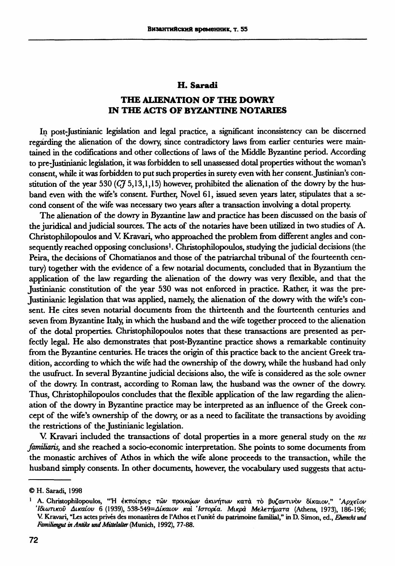## **H. Saradi**

## **THE ALIENATION OF THE DOWRY IN THE ACTS OF BYZANTINE NOTARIES**

In post-Justinianic legislation and legal practice, a significant inconsistency can be discerned regarding the alienation of the dowry, since contradictory laws from earlier centuries were maintained in the codifications and other collections of laws of the Middle Byzantine period. According to pre Justinianic legislation, it was forbidden to sell unassessed dotal properties without the woman's consent, while it was forbidden to put such properties in surety even with her consent. Justinian's constitution of the year 530 ( $C_f^2$  5,13,1,15) however, prohibited the alienation of the dowry by the husband even with the wife's consent. Further, Novel 61, issued seven years later, stipulates that a second consent of the wife was necessary two years after a transaction involving a dotal property.

The alienation of the dowry in Byzantine law and practice has been discussed on the basis of the juridical and judicial sources. The acts of the notaries have been utilized in two studies of A. Christophilopoulos and V Kravaři, who approached the problem from different angles and consequently reached opposing conclusions<sup>1</sup>. Christophilopoulos, studying the judicial decisions (the Peira, the decisions of Chomatianos and those of the patriarchal tribunal of the fourteenth century) together with the evidence of a few notarial documents, concluded that in Byzantium the application of the law regarding the alienation of the dowry was very flexible, and that the Justinianic constitution of the year 530 was not enforced in practice. Rather, it was the pre-Justinianic legislation that was applied, namely, the alienation of the dowry with the wife's consent. He cites seven notarial documents from the thirteenth and the fourteenth centuries and seven from Byzantine Italy, in which the husband and the wife together proceed to the alienation of the dotal properties. Christophilopoulos notes that these transactions are presented as perfecdy legal. He also demonstrates that post-Byzantine practice shows a remarkable continuity from the Byzantine centuries. He traces the origin of this practice back to the ancient Greek tradition, according to which the wife had the ownership of the dowry, while the husband had only the usufruct. In several Byzantine judicial decisions also, the wife is considered as the sole owner of the dowry. In contrast, according to Roman law, the husband was the owner of the dowry. Thus, Christophilopoulos concludes that the flexible application of the law regarding the alienation of the dowry in Byzantine practice may be interpreted as an influence of the Greek concept of the wife's ownership of the dowry, or as a need to facilitate the transactions by avoiding the restrictions of the Justinianic legislation.

V. Kravari included the transactions of dotal properties in a more general study on the *res famüiaris,* and she reached a socio-economic interpretation. She points to some documents from the monastic archives of Athos in which the wife alone proceeds to the transaction, while the husband simply consents. In other documents, however, the vocabulary used suggests that actu-

**<sup>©</sup> H. Saradi, 1998** 

<sup>1</sup> A. Christophilopoulos, "Η έκποίησις τών προικώων ακινήτων κατά τὸ βυζαντινὸν δίκαιον," 'Αρχεῖον *Ιδιωτικού Δικαίου* **6 (1939), 538-549***-Αίκαιο και Ιστορία. Μικρά Μελετήματα* **(Athens, 1973), 186-196; V. Kravari, "Les actes privés des monastères de l'Athos et l'unité du patrimoine familial," in D. Simon, ed.,** *Eherecht und Familiengut in Antike und Mittelalter***(Munich, 1992), 77-88.**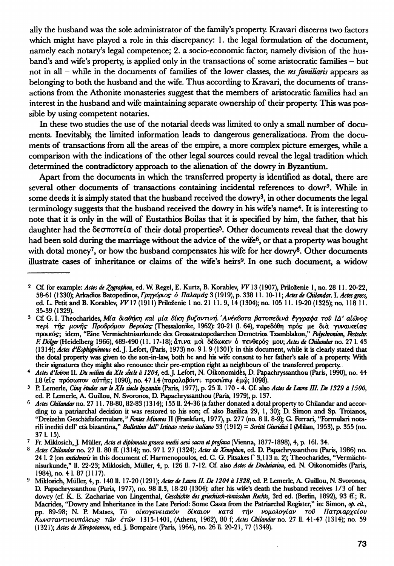ally the husband was the sole administrator of the family's property. Kravari discerns two factors which might have played a role in this discrepancy: 1. the legal formulation of the document, namely each notary's legal competence; 2. a socio-economic factor, namely division of the husband's and wife's property, is applied only in the transactions of some aristocratic families - but not in all - while in the documents of families of the lower classes, the *res famitiaris* appears as belonging to both the husband and the wife. Thus according to Kravari, the documents of transactions from the Athonite monasteries suggest that the members of aristocratic families had an interest in the husband and wife maintaining separate ownership of their property. This was possible by using competent notaries.

In these two studies the use of the notarial deeds was limited to only a small number of documents. Inevitably, the limited information leads to dangerous generalizations. From the documents of transactions from all the areas of the empire, a more complex picture emerges, while a comparison with the indications of the other legal sources could reveal the legal tradition which determined the contradictory approach to the alienation of the dowry in Byzantium.

Apart from the documents in which the transferred property is identified as dotal, there are several other documents of transactions containing incidental references to dowr<sup>2</sup> . While in some deeds it is simply stated that the husband received the dowry<sup>3</sup>, in other documents the legal terminology suggests that the husband received the dowry in his wife's name<sup>4</sup>. It is interesting to note that it is only in the will of Eustathios Boilas that it is specified by him, the father, that his daughter had the δεσποτεία of their dotal properties<sup>5</sup>. Other documents reveal that the dowry had been sold during the marriage without the advice of the wife<sup>6</sup>, or that a property was bought with dotal money<sup>7</sup>, or how the husband compensates his wife for her dowry<sup>8</sup>. Other documents illustrate cases of inheritance or claims of the wife's heirs<sup>9</sup> . In one such document, a widow

<sup>&</sup>lt;sup>2</sup> Cf. for example: Actes de Zographou, ed. W. Regel, E. Kurtz, B. Korablev, VV 13 (1907), Priloženie 1, no. 28 11. 20-22, **58-61 (1330); Arkadios Batopedinos,** *Γρηγόριος ό ΠαλαμάςΖ* **(1919),p. 338 И. 10-11;** *Actes de (Mandar.* **I.** *Actesgrecs,*  **ed. L. Petit and . Korablev, WY1 (1911) Priloženie 1 no.21 11.9, 14(1304); no. 105 11. 19-20 (1325); no. 118 И. 35-39(1329).** 

**<sup>3</sup> Cf. G. I. Theocharides,** *Μία διαθήκη και μία δίκη βυζαντινή. 'Ανέκδοτα βατοπ€δινά έγγραφα του ΙΔ' αιώνος περί της μονής Προδρόμου Βεροίας* (Thessalonike, 1962): 20-21 (1. 64), παρεδόθη πρός με διά γυναικείας **προικός; idem, "Eine Vermächtnisurkunde des Grossstratopedarchen Demetrios Tzamblakon,"** *Pofychronion, Festschr. E Dolger* **(Heidelberg 1966), 489-490 (11. 17-18); ¿LTLVCL μο δεδωκε πενθερό? μου;** *Actes de (Mandar* **no. 27 1. 43 (1314);** *Actes d'Esphigmenous* **ed. J. Lefort, (Paris, 1973) no. 9 1. 9 (1301): in this document, while it is clearly stated that the dotal property was given to the son-in-law, both he and his wife consent to her father's sale of a property. With their signatures they might also renounce their pre-emption right as neighbours of the transferred property.** 

<sup>4</sup> Actes d'Iviron II. Du milieu du XIe siecle à 1204, ed. J. Lefort, N. Oikonomides, D. Papachryssanthou (Paris, 1990), no. 44 **1.8 (eis** πρόσωπον αύτης; 1090), no. 47 1.4 (παραλαβόντι προσώπω έμώ; 1098).

<sup>&</sup>lt;sup>5</sup> P. Lemerle, Cinq études sur le XIe siecle byzantin (Paris, 1977), p. 25 ll. 170 - 4. Cf. also Actes de Lavra III. De 1329 à 1500, **ed. P. Lemerle, A. Guillou, N. Svoronos, D. Papachryssanthou (Paris, 1979), p. 137.** 

*<sup>6</sup> Actes (Mandar* **no. 27 11.78-80,82-83(1314); 15511. 24-36 (a father donated a dotal property to Chilandar and according to a patriarchal decision it was restored to his son; cf. also Basilica 29, 1, 30); D. Simon and Sp. Troianos, "Dreizehn Geschäftsformulare,"** *Fontes Minores* **II (Frankfurt, 1977), p. 277 (no. 8 11. 8-9); G. Ferrari, "Formulari notarili inediti dell' età bizantina,"** *Bullettino dell'Istituto storico italiano* **33 (1912) =** *Scritti Giuridici* **I (Milan, 1953), p. 355 (no. 37 1. 15).** 

**<sup>7</sup> Fr. Miklosich, J. Müller,** *Acta et diplomata graeca medii aevi sacra et profana* **(Vienna, 1877-1898), 4, p. 161. 34.** 

Actes Chilandar no. 27 ll. 80 ff. (1314); no. 97 l. 27 (1324); Actes de Xénophon, ed. D. Papachryssanthou (Paris, 1986) no. **241. 2 (on** *antichresis* **in this document cf. Harmenopoulos, ed. . G. Pitsakes 3,113 п. 2); Theocharides, "Vermächtnisurkunde," 11. 22-23; Miklosich, Müller, 4, p. 126 11. 7-12. Cf. also** *Actes de Docheiariou***, ed. N. Oikonomidès (Paris, 1984), no. 41. 87(1117).** 

<sup>9</sup> Miklosich, Müller, 4, p. 140 ll. 17-20 (1291); Actes de Lavra II. De 1204 à 1328, ed. P. Lemerle, A. Guillou, N. Svoronos, **D. Papachryssanthou (Paris, 1977), no. 98 11.3, 18-20 (1304): after his wife's death the husband receives 1/3 of her dowry (cf. . E. Zachariae von Langenthal,** *Geschichte des griechisch-römischen Rechts***, 3rd ed. (Berlin, 1892), 93 (f.; R. Macrides, "Dowry and Inheritance in the Late Period: Some Cases from the Patriarchal Register," in: Simon,** *op. cit.,*  **pp. .89-98; N. P. Matses,** *To οίκογενειακόν δίκαιον κατά τήν νομολογίαν του Πατριαρχείου Κωνσταντινουπόλεως τών ετών* **1315-1401, (Athens, 1962), 80 f;** *Actes Chikndarno.* **27 И. 41-47 (1314); no. 59 (1321);** *Actes de Xeropotamou,* **ed. J. Bompaire (Paris, 1964), no. 26 U. 20-21, 77 (1349).**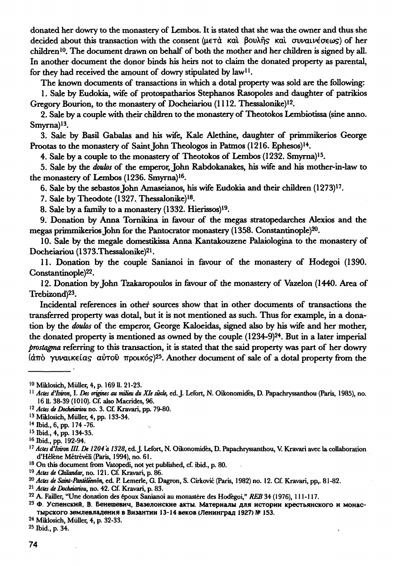donated her dowry to the monastery of Lembos. It is stated that she was the owner and thus she decided about this transaction with the consent (μετά και βουλής και συναινέσεως) of her children<sup>10</sup>. The document drawn on behalf of both the mother and her children is signed by all. In another document the donor binds his heirs not to claim the donated property as parental, for they had received the amount of dowry stipulated by law<sup>11</sup>.

The known documents of transactions in which a dotal property was sold are the following:

1. Sale by Ëudokia, wife of protospatharios Stephanos Rasopoles and daughter of patrikios Gregory Bourion, to the monastery of Docheiariou (1112. Thessalonike)<sup>12</sup>.

2. Sale by a couple with their children to the monastery of Theotokos Lembiotissa (sine anno. Smyrna)<sup>13</sup>.

3. Sale by Basil Gabalas and his wife, Kale Alethine, daughter of primmikerios George Prootas to the monastery of Saint John Theologos in Patmos (1216. Ephesos)<sup>14</sup>.

4. Sale by a couple to the monastery of Theotokos of Lembos (1232. Smyrna)<sup>15</sup> .

5. Sale by the *doubs* of the emperor, John Rabdokanakes, his wife and his mother-in-law to the monastery of Lembos (1236. Smyrna)<sup>16</sup> .

6. Sale by the sebastosJohn Amaseianos, his wife Ëudokia and their children (1273)<sup>17</sup> .

7. Sale by Theodote (1327. Thessalonike)<sup>18</sup> .

8. Sale by a family to a monastery (1332. Hierissos)<sup>19</sup> .

9. Donation by Anna Tornikina in favour of the megas stratopedarches Alexios and the megas primmikerios John for the Pantocrator monastery (1358. Constantinople)<sup>20</sup> .

10. Sale by the megale domestikissa Anna Kantakouzene Palaiologina to the monastery of Docheiariou (1373.Thessalonike)<sup>21</sup>.

11. Donation by the couple Sanianoi in favour of the monastery of Hodegoi (1390. Constantinople)<sup>22</sup>.

12. Donation by John Tzakaropoulos in favour of the monastery of Vazelon (1440. Area of Trebizond)<sup>23</sup> .

Incidental references in other sources show that in other documents of transactions the transferred property was dotal, but it is not mentioned as such. Thus for example, in a donation by the *doulos* of the emperor, George Kaloeidas, signed also by his wife and her mother, the donated property is mentioned as owned by the couple (1234-9)<sup>24</sup>. But in a later imperial *prostagma* referring to this transaction, it is stated that the said property was part of her dowry (άπό γυναικείας αύτοῦ προικός)<sup>25</sup>. Another document of sale of a dotal property from the

**<sup>13</sup> Miklosich, Müller, 4, pp. 133-34.** 

- **<sup>18</sup> On this document from Vatopedi, not yet published, cf. ibid., p. 80.**
- *<sup>19</sup> Actes de (Mandar,* **no. 121. Cf. Kravaři, p. 86.**
- *<sup>20</sup> Actes de Saint-Pantéleemòn,* **ed. P. Lemerle, G. Dagron, S. Cirkovic (Paris, 1982) no. 12. Cf. Kravari, pp,. 81-82.**
- *<sup>21</sup> Actes de Docheiariou,* **no. 42. Cf. Kravari, p. 83.**
- **<sup>22</sup> A. Faffler, "Une donation des époux Sanianoi au monastère des Hodegoi,"** *REB* **34 (1976), 111-117.**

<sup>23</sup> Ф. Успенский, В. Бенешевич, Вазелонские акты. Материалы для истории крестьянского и монастырского землевладения в Византии 13-14 веков (Ленинград 1927) № 153.

**<sup>24</sup> Miklosich, Müller, 4, p. 32-33.** 

**25 Ibid., p. 34.** 

**<sup>10</sup> Miklosich, Müller, 4, p. 169 U. 21-23.** 

<sup>&</sup>lt;sup>11</sup> Actes d'Iviron, I. Des origines au milieu du XIe siècle, ed. J. Lefort, N. Oikonomidès, D. Papachryssanthou (Paris, 1985), no. **16 U. 38-39 (1010). Cf. also Macrides, 96.** 

*<sup>12</sup> Actes de Docheiariou* **no. 3. Cf. Kravaři, pp. 79-80.** 

**<sup>14</sup> Ibid., 6, pp. 174-76.** 

**<sup>15</sup> Ibid., 4, pp. 134-35.** 

**<sup>16</sup> Ibid., pp. 192-94.** 

*<sup>17</sup> Actes d'Iman LLL De 1204 a 1328***, ed.J. Lefort, N. Oikonomidès, D. Papachryssanthou, V. Kravaři avec la collaboration d'Hélène Métrévéli (Paris, 1994), no. 61.**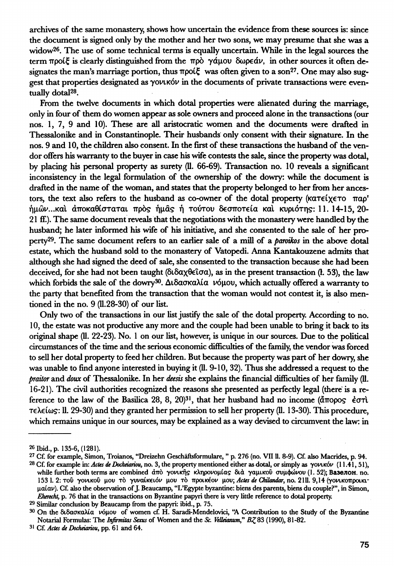archives of the same monastery, shows how uncertain the evidence from these sources is: since the document is signed only by the mother and her two sons, we may presume that she was a widow<sup>26</sup> . The use of some technical terms is equally uncertain. While in the legal sources the term προίξ is clearly distinguished from the πρὸ γάμου δωρεάν, in other sources it often designates the man's marriage portion, thus προίξ was often given to a son<sup>27</sup>. One may also suggest that properties designated as γονικόν in the documents of private transactions were eventually dotal<sup>28</sup>.

From the twelve documents in which dotal properties were alienated during the marriage, only in four of them do women appear as sole owners and proceed alone in the transactions (our nos. 1, 7, 9 and 10). These are all aristocratic women and the documents were drafted in Thessalonike and in Constantinople. Their husbands only consent with their signature. In the nos. 9 and 10, the children also consent. In the first of these transactions the husband of the vendor offers his warranty to the buyer in case his wife contests the sale, since the property was dotal, by placing his personal property as surety (11. 66-69). Transaction no. 10 reveals a significant inconsistency in the legal formulation of the ownership of the dowry: while the document is drafted in the name of the woman, and states that the property belonged to her from her ancestors, the text also refers to the husband as co-owner of the dotal property (κατείχετο παρ' ήμών...καὶ ἀποκαθίσταται πρὸς ἡμᾶς ἡ τούτου δεσποτεία καὶ κυριότης: 11. 14-15, 20-21 ff.). The same document reveals that the negotiations with the monastery were handled by the husband; he later informed his wife of his initiative, and she consented to the sale of her property<sup>29</sup> . The same document refers to an earlier sale of a mill of a *parotkos* in the above dotal estate, which the husband sold to the monastery of Vatopedi. Anna Kantakouzene admits that although she had signed the deed of sale, she consented to the transaction because she had been deceived, for she had not been taught (8ι8αχθ€ΐσα), as in the present transaction (L 53), the law which forbids the sale of the dowry<sup>30</sup>. Διδασκαλία νόμου, which actually offered a warranty to the party that benefited from the transaction that the woman would not contest it, is äko mentioned in the no. 9 (11.28-30) of our list.

Only two of the transactions in our list justify the sale of the dotal property. According to no. 10, the estate was not productive any more and the couple had been unable to bring it back to its original shape (11. 22-23). No. 1 on our list, however, *is* unique in our sources. Due to the political circumstances of the time and the serious economic difficulties of the family, the vendor was forced to sell her dotal property to feed her children. But because the property was part of her dowry, she was unable to find anyone interested in buying it (11. 9-10, 32). Thus she addressed a request to the *praitor* and *doux* of Thessalonike. In her *deesis* she explains the financial difficulties of her family (11. 16-21). The civil authorities recognized the reasons she presented as perfectly legal (there is a reference to the law of the Basilica 28, 8, 20)<sup>31</sup>, that her husband had no income (άπορος έστι Τ€λ€ΐω9: . 29-30) and they granted her permission to sell her property (11. 13-30). This procedure, which remains unique in our sources, may be explained as a way devised to circumvent the law: in

**29 Similar conclusion by Beaucamp from the papyri: ibid., p. 75.** 

**<sup>26</sup> Ibid., p. 135-6, (1281).** 

**<sup>27</sup> Cf. for example, Simon, Troianos, "Dreizehn Geschäftsformulare, " p. 276 (no. VII 11. 8-9). Cf. also Macrides, p. 94. <sup>28</sup> Cf. for example in:** *Actes de Docheiariou,* **no. 3, the property mentioned either as dotal, or simply as γονικό (11.41, 51), while further both terms are combined άπ yovucrjs κληρονομιά δι γαμικο συμφώνο (1. 52); Вазелон. no. 1531. 2: το γονικο μο τ γυναίκ€ΐό μο τ προικέο μου;** *Actes de (Mandar,* **no. 2111. 9,14 (γονικοπροικιμαίαν). Cf. also the observation of J. Beaucamp, "L'Egypte byzantine: biens des parents, biens du couple?", in Simon,**  *Eherecht***, p. 76 that in the transactions on Byzantine papyri there is very little reference to dotal property.** 

**<sup>30</sup> On the διδασκαλί νόμο of women cf. H. Saradi-Mendelovici, "A Contribution to the Study of the Byzantine Notarial Formulas: The** *Inftrmitas Sexus* **of Women and the** *Sc. Velleianum," BZ***83 (1990), 81-82.** 

**<sup>31</sup> Cf.** *Actes de Docheiariou***, pp. 61 and 64.**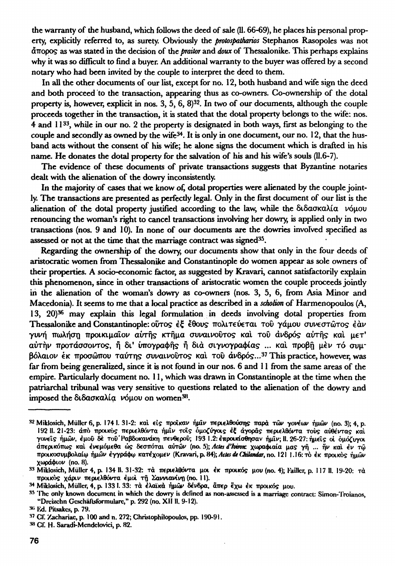the warranty of the husband, which follows the deed of sale (11.66-69), he places his personal property, explicidy referred to, as surety. Obviously the *protospatharios* Stephanos Rasopoles was not άπορο? as was stated in the decision of the *praüor* and *doux* of Thessalonike. This perhaps explains why it was so difficult to find a buyer. An additional warranty to the buyer was offered by a second notary who had been invited by the couple to interpret the deed to them.

In all the other documents of our list, except for no. 12, both husband and wife sign the deed and both proceed to the transaction, appearing thus as co-owners. Co-ownership of the dotal property is, however, explicit in nos. 3, 5, 6, 8)<sup>32</sup>. In two of our documents, although the couple proceeds together in the transaction, it is stated that the dotal property belongs to the wife: nos. 4 and 1133, while in our no. 2 the property is designated in both ways, first as belonging to the couple and secondly as owned by the wife<sup>34</sup>. It is only in one document, our no. 12, that the husband acts without the consent of his wife; he alone signs the document which is drafted in his name. He donates the dotal property for the salvation of his and his wife's souls (11.6-7).

The evidence of these documents of private transactions suggests that Byzantine notaries dealt with the alienation of the dowry inconsistendy.

In the majority of cases that we know of, dotal properties were alienated by the couple jointly. The transactions are presented as perfecdy legal. Only in the first document of our list is the alienation of the dotal property justified according to the law, while the διδασκαλία νόμου renouncing the woman's right to cancel transactions involving her dowry, is applied only in two transactions (nos. 9 and 10). In none of our documents are the dowries involved specified as assessed or not at the time that the marriage contract was signed<sup>35</sup>.

Regarding the ownership of the dowry, our documents show that only in the four deeds of aristocratic women from Thessalonike and Constantinople do women appear as sole owners of their properties. A socio-economic factor, as suggested by Kravari, cannot satisfactorily explain this phenomenon, since in other transactions of aristocratic women the couple proceeds joindy in the alienation of the woman's dowry as co-owners (nos. 3, 5, 6, from Asia Minor and Macedonia). It seems to me that a local practice as described in a *scholion* of Harmenopoulos (A, 13, 20)<sup>36</sup> may explain this legal formulation in deeds involving dotal properties from Thessalonike and Constantinople: ούτος έξ έθους πολιτεύεται του γάμου συνεστώτος έαν γυνή πωλήση προικιμαΐον αύτής κτήμα συναινοῦτος καὶ τοῦ ἀνδρός αὐτῆς καὶ μετ' αύτην προτάσσοντος, ή δι' ύπογραφής ή διά σιγνογραφίας ... και προβή μεν τό συμβόλαιον έκ προσώπου ταύτης συναινούτος και του άνδρός...<sup>37</sup> This practice, however, was far from being generalized, since it is not found in our nos. 6 and 11 from the same areas of the empire. Particularly document no. 11, which was drawn in Constantinople at the time when the patriarchal tribunal was very sensitive to questions related to the alienation of the dowry and .<br>imposed the διδασκαλία νόμου on women<sup>38</sup>.

**<sup>32</sup> Miklosich, Müller 6, p. 1741. 31-2: κα ci προικα ήμί π€ρΐ€λθούση παρ τώ γονέω ημώ (no. 3); 4, . 192 11. 21-23: απ προικός· π€ρΐ€λθόντ ήμι τοι ΌΜΟ^υγοι** *έξ αγοράς* **π€ρΐ€λθόντ TOUS** *αύβέντας* **και γονεΐς ήμῶν, έμοῦ δὲ τοῦ Ραβδοκανάκη πενθεροῦ; 193 1.2: ἐπροικίσθησαν ήμιν; ΙΙ. 26-27: ήμεῖς οι ὁμόζυγοι άπ€ρικόπω? κα €ν€μόμ€θ** *ώς* **δβσπότα αυτώ (no. 5);** *Actes ďhmic* **χωραφιαί μα? γ ... κα cv ω προικοσυμβολαί ημώ έγγράφ κατέχομ€ (Kravari, . 84);** *Actes de (Mandar,* **no. 121 1.16: т с προικό? ημών χωράφιο (no. 8).** 

**<sup>:</sup>ν Miklosich, Müller 4, p. 134 И. 31-32: π€ρΐ€λθόντ μο έ προικό μο (no. 4); l'ailler, p. 117 11. 19-20: α**  προικός χάριν περιελθόντα έμοι τη Σαννιανίνη (no. 11).

**<sup>34</sup> Miklosich, Müller, 4, p. 1331. 33: ¿λαϊκ ημώ δένδρα,** *âirçp* **€χ προικό? μου.** 

**<sup>35</sup> The only known document in which the dowry is defined as non-assessed is a marriage contract: Simon**-Troianos, **"Dreizehn Gcschäftsformularc," p. 292 (no. XII 11. 9-12).** 

**<sup>•«&</sup>gt; lid. Pitsakes, p. 79.** 

**<sup>37</sup> СГ. Xachariac, p. 100 and n. 272; Christophilopoulos, pp. 190-91.** 

**<sup>»</sup> СГ. H. Saradi-Mcndclovici, p. 82.**